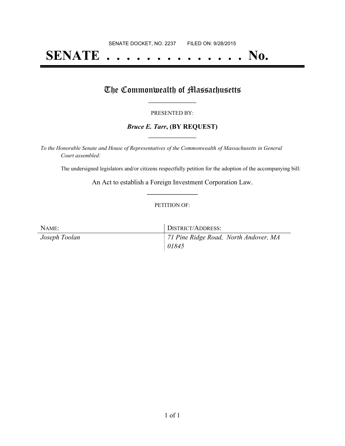# **SENATE . . . . . . . . . . . . . . No.**

# The Commonwealth of Massachusetts

#### PRESENTED BY:

## *Bruce E. Tarr***, (BY REQUEST) \_\_\_\_\_\_\_\_\_\_\_\_\_\_\_\_\_**

*To the Honorable Senate and House of Representatives of the Commonwealth of Massachusetts in General Court assembled:*

The undersigned legislators and/or citizens respectfully petition for the adoption of the accompanying bill:

An Act to establish a Foreign Investment Corporation Law. **\_\_\_\_\_\_\_\_\_\_\_\_\_\_\_**

### PETITION OF:

| NAME:         | <b>DISTRICT/ADDRESS:</b>              |
|---------------|---------------------------------------|
| Joseph Toolan | 71 Pine Ridge Road, North Andover, MA |
|               | 01845                                 |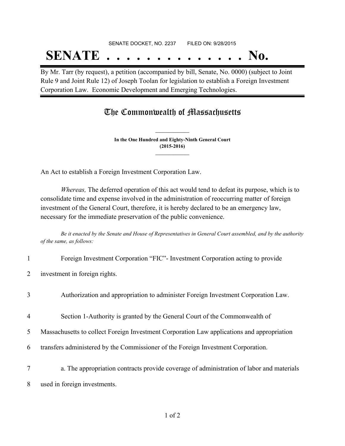## SENATE DOCKET, NO. 2237 FILED ON: 9/28/2015 **SENATE . . . . . . . . . . . . . . No.**

By Mr. Tarr (by request), a petition (accompanied by bill, Senate, No. 0000) (subject to Joint Rule 9 and Joint Rule 12) of Joseph Toolan for legislation to establish a Foreign Investment Corporation Law. Economic Development and Emerging Technologies.

## The Commonwealth of Massachusetts

**In the One Hundred and Eighty-Ninth General Court (2015-2016) \_\_\_\_\_\_\_\_\_\_\_\_\_\_\_**

**\_\_\_\_\_\_\_\_\_\_\_\_\_\_\_**

An Act to establish a Foreign Investment Corporation Law.

*Whereas,* The deferred operation of this act would tend to defeat its purpose, which is to consolidate time and expense involved in the administration of reoccurring matter of foreign investment of the General Court, therefore, it is hereby declared to be an emergency law, necessary for the immediate preservation of the public convenience.

Be it enacted by the Senate and House of Representatives in General Court assembled, and by the authority *of the same, as follows:*

- 1 Foreign Investment Corporation "FIC"- Investment Corporation acting to provide
- 2 investment in foreign rights.
- 3 Authorization and appropriation to administer Foreign Investment Corporation Law.
- 4 Section 1-Authority is granted by the General Court of the Commonwealth of
- 5 Massachusetts to collect Foreign Investment Corporation Law applications and appropriation
- 6 transfers administered by the Commissioner of the Foreign Investment Corporation.
- 7 a. The appropriation contracts provide coverage of administration of labor and materials
- 8 used in foreign investments.